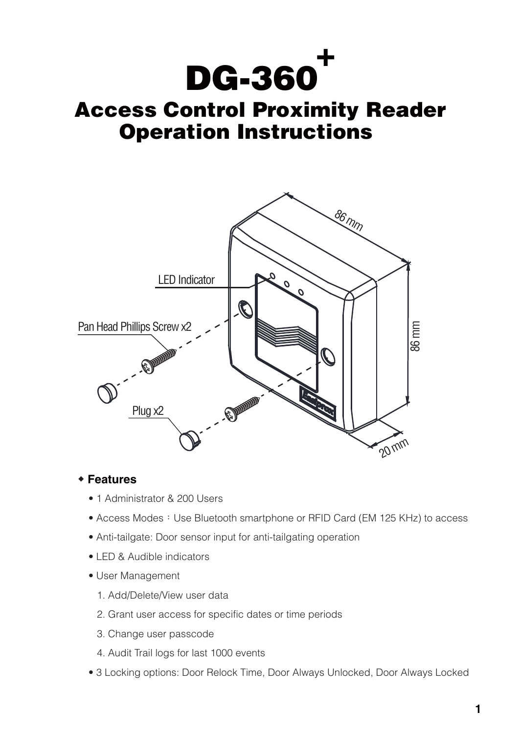**DG-360 +**

# **Operation Instructions Access Control Proximity Reader**



## **◆ Features**

- 1 Administrator & 200 Users
- Access Modes: Use Bluetooth smartphone or RFID Card (EM 125 KHz) to access
- Anti-tailgate: Door sensor input for anti-tailgating operation
- LED & Audible indicators
- User Management
	- 1. Add/Delete/View user data
	- 2. Grant user access for specific dates or time periods
	- 3. Change user passcode
	- 4. Audit Trail logs for last 1000 events
- 3 Locking options: Door Relock Time, Door Always Unlocked, Door Always Locked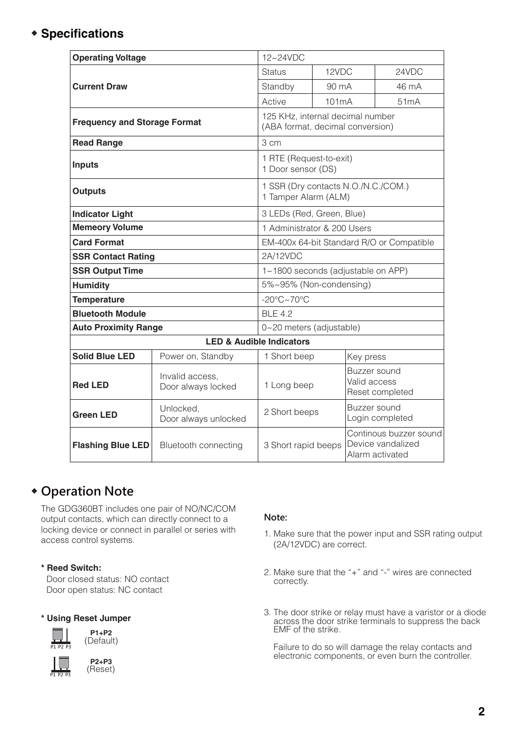# **◆ Specifications**

| <b>Operating Voltage</b>            |                                       | 12~24VDC                                                             |                    |                              |                                                                |
|-------------------------------------|---------------------------------------|----------------------------------------------------------------------|--------------------|------------------------------|----------------------------------------------------------------|
|                                     |                                       | <b>Status</b>                                                        | 12VDC              |                              | 24VDC                                                          |
| <b>Current Draw</b>                 |                                       | Standby                                                              | 90 mA              |                              | 46 mA                                                          |
|                                     |                                       | Active                                                               | 101 <sub>m</sub> A |                              | 51 <sub>m</sub> A                                              |
| <b>Frequency and Storage Format</b> |                                       | 125 KHz, internal decimal number<br>(ABA format, decimal conversion) |                    |                              |                                                                |
| <b>Read Range</b>                   |                                       | 3 cm                                                                 |                    |                              |                                                                |
| <b>Inputs</b>                       |                                       | 1 RTE (Request-to-exit)<br>1 Door sensor (DS)                        |                    |                              |                                                                |
| <b>Outputs</b>                      |                                       | 1 SSR (Dry contacts N.O./N.C./COM.)<br>1 Tamper Alarm (ALM)          |                    |                              |                                                                |
| <b>Indicator Light</b>              |                                       | 3 LEDs (Red, Green, Blue)                                            |                    |                              |                                                                |
| <b>Memeory Volume</b>               |                                       | 1 Administrator & 200 Users                                          |                    |                              |                                                                |
| <b>Card Format</b>                  |                                       | EM-400x 64-bit Standard R/O or Compatible                            |                    |                              |                                                                |
| <b>SSR Contact Rating</b>           |                                       | 2A/12VDC                                                             |                    |                              |                                                                |
| <b>SSR Output Time</b>              |                                       | 1~1800 seconds (adjustable on APP)                                   |                    |                              |                                                                |
| <b>Humidity</b>                     |                                       | 5%~95% (Non-condensing)                                              |                    |                              |                                                                |
| <b>Temperature</b>                  |                                       | $-20^{\circ}$ C $\sim$ 70 $^{\circ}$ C                               |                    |                              |                                                                |
| <b>Bluetooth Module</b>             |                                       | <b>BLE 4.2</b>                                                       |                    |                              |                                                                |
| <b>Auto Proximity Range</b>         |                                       | 0~20 meters (adjustable)                                             |                    |                              |                                                                |
|                                     |                                       | <b>LED &amp; Audible Indicators</b>                                  |                    |                              |                                                                |
| <b>Solid Blue LED</b>               | Power on, Standby                     | 1 Short beep                                                         |                    | Key press                    |                                                                |
| <b>Red LED</b>                      | Invalid access.<br>Door always locked | 1 Long beep                                                          |                    | Buzzer sound<br>Valid access | Reset completed                                                |
| <b>Green LED</b>                    | Unlocked,<br>Door always unlocked     | 2 Short beeps                                                        |                    | Buzzer sound                 | Login completed                                                |
| <b>Flashing Blue LED</b>            | Bluetooth connecting                  | 3 Short rapid beeps                                                  |                    |                              | Continous buzzer sound<br>Device vandalized<br>Alarm activated |

# **◆ Operation Note**

The GDG360BT includes one pair of NO/NC/COM output contacts, which can directly connect to a locking device or connect in parallel or series with access control systems.

#### **\* Reed Switch:**

Door closed status: NO contact Door open status: NC contact

#### **\* Using Reset Jumper**





#### **Note:**

- 1. Make sure that the power input and SSR rating output (2A/12VDC) are correct.
- 2. Make sure that the "+" and "-" wires are connected correctly.
- 3. The door strike or relay must have a varistor or a diode across the door strike terminals to suppress the back EMF of the strike.

 Failure to do so will damage the relay contacts and electronic components, or even burn the controller.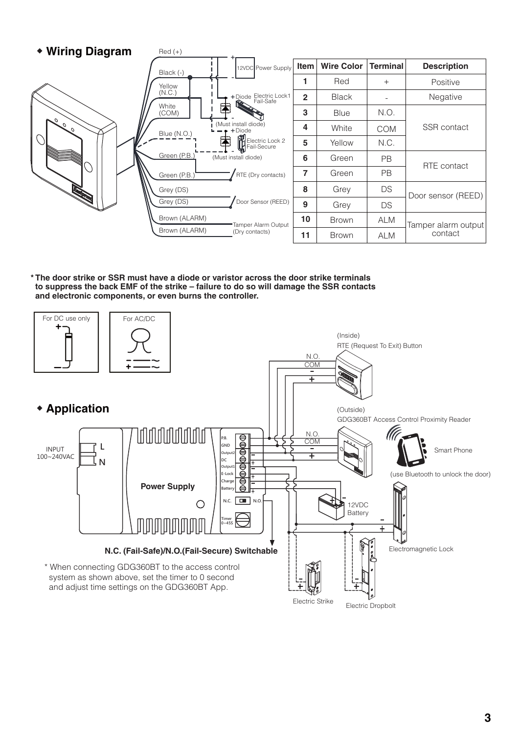

**\* The door strike or SSR must have a diode or varistor across the door strike terminals to suppress the back EMF of the strike – failure to do so will damage the SSR contacts and electronic components, or even burns the controller.**

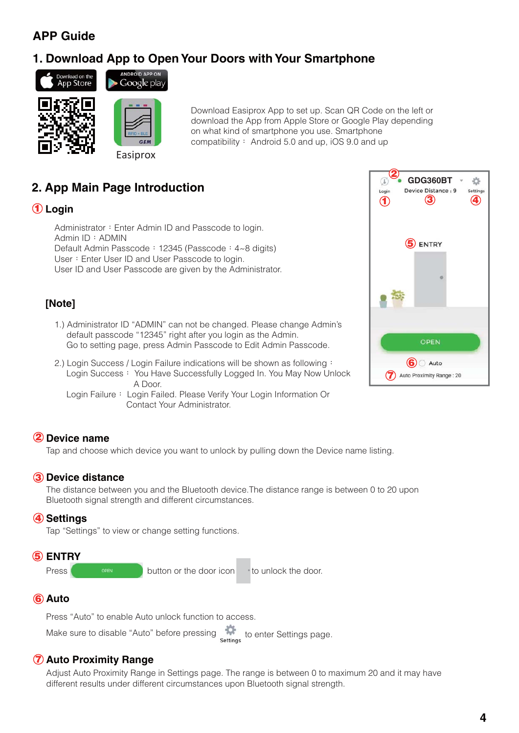# **APP Guide**

# **1. Download App to Open Your Doors with Your Smartphone**





Google play

Easiprox

Download Easiprox App to set up. Scan QR Code on the left or download the App from Apple Store or Google Play depending on what kind of smartphone you use. Smartphone compatibility: Android 5.0 and up, iOS 9.0 and up

# **2. App Main Page Introduction**

## **Login 1**

Administrator: Enter Admin ID and Passcode to login. Admin ID:ADMIN Default Admin Passcode: 12345 (Passcode: 4~8 digits) User: Enter User ID and User Passcode to login. User ID and User Passcode are given by the Administrator.

## **[Note]**

- 1.) Administrator ID "ADMIN" can not be changed. Please change Admin's default passcode "12345" right after you login as the Admin. Go to setting page, press Admin Passcode to Edit Admin Passcode.
- 2.) Login Success / Login Failure indications will be shown as following: Login Success: You Have Successfully Logged In. You May Now Unlock A Door.
	- Login Failure: Login Failed. Please Verify Your Login Information Or Contact Your Administrator.

## **Device name 2**

Tap and choose which device you want to unlock by pulling down the Device name listing.

#### **Device distance 3**

The distance between you and the Bluetooth device.The distance range is between 0 to 20 upon Bluetooth signal strength and different circumstances.

#### **Settings 4**

Tap "Settings" to view or change setting functions.



## **Auto 6**

Press "Auto" to enable Auto unlock function to access.

Make sure to disable "Auto" before pressing extends to enter Settings page.

## **Auto Proximity Range 7**

Adjust Auto Proximity Range in Settings page. The range is between 0 to maximum 20 and it may have different results under different circumstances upon Bluetooth signal strength.

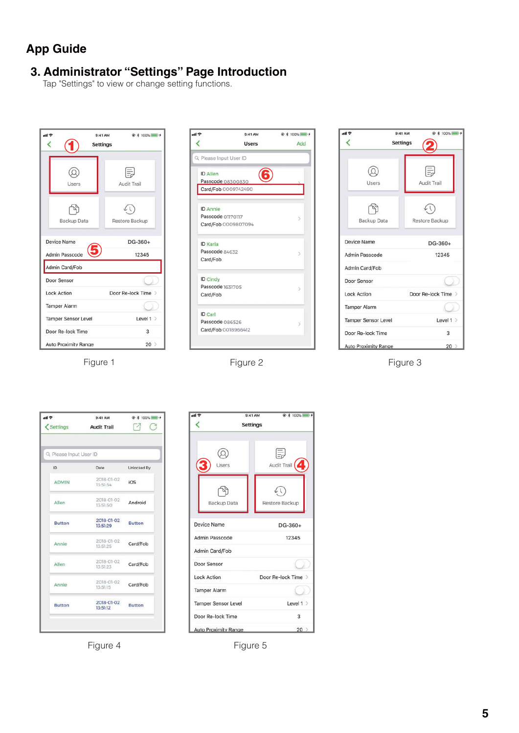# **App Guide**

## **3. Administrator "Settings" Page Introduction**

Tap "Settings" to view or change setting functions.

| e llu                         | $9:41 \text{ AM}$<br><b>Settings</b> | ● * 100% ■ +        |
|-------------------------------|--------------------------------------|---------------------|
| Users                         |                                      | Audit Trail         |
| Backup Data                   |                                      | Restore Backup      |
| Device Name<br>Admin Passcode |                                      | $DG-360+$<br>12345  |
| Admin Card/Fob<br>Door Sensor |                                      |                     |
| <b>Lock Action</b>            |                                      | Door Re-lock Time > |
| <b>Tamper Alarm</b>           |                                      |                     |
| Tamper Sensor Level           |                                      | Level $1$ >         |
| Door Re-lock Time             |                                      | $\mathbf{3}$        |
| Auto Proximity Range          |                                      | 20                  |

Figure 1



| 川宇                          | ● * 100%<br>$9:41$ AM |    |
|-----------------------------|-----------------------|----|
|                             | <b>Settings</b>       |    |
| Users                       | Audit Trail           |    |
| Backup Data                 | Restore Backup        |    |
| Device Name                 | DG-360+               |    |
| Admin Passcode              | 12345                 |    |
| Admin Card/Fob              |                       |    |
| Door Sensor                 |                       |    |
| <b>Lock Action</b>          | Door Re-lock Time >   |    |
| <b>Tamper Alarm</b>         |                       |    |
| <b>Tamper Sensor Level</b>  | Level $1$ >           |    |
| Door Re-lock Time           | 3                     |    |
| <b>Auto Proximity Range</b> |                       | 20 |

Figure 2 Figure 3

| ul T                         | $9:41$ AM<br>Settings Audit Trail | @ \$ 100%<br>$\sqrt{2}$<br>G |
|------------------------------|-----------------------------------|------------------------------|
|                              |                                   |                              |
| Q Please Input User ID<br>ID | Date                              | Unlocked By                  |
| <b>ADMIN</b>                 | 2018-01-02<br>13:51:54            | iOS                          |
| Allen                        | 2018-01-02<br>13.51.50            | Android                      |
| Button                       | 2018-01-02<br>13:51:29            | <b>Button</b>                |
| Annie                        | 2018-01-02<br>13:51:25            | Card/Fob                     |
| Allen                        | 2018-01-02<br>13:51:23            | Card/Fob                     |
| Annie                        | 2018-01-02<br>13:51:15            | Card/Fob                     |
| <b>Button</b>                | 2018-01-02<br>13:51:12            | <b>Button</b>                |

Figure 4 Figure 5

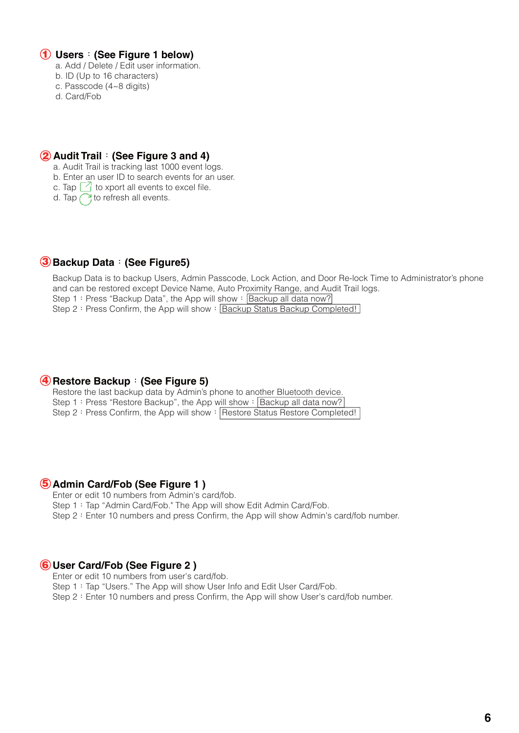#### **Users**:**(See Figure 1 below) 1**

- a. Add / Delete / Edit user information.
- b. ID (Up to 16 characters)
- c. Passcode (4~8 digits)
- d. Card/Fob

### **Audit Trail**:**(See Figure 3 and 4) 2**

a. Audit Trail is tracking last 1000 event logs.

b. Enter an user ID to search events for an user.

c. Tap  $\Box$  to xport all events to excel file.

d. Tap  $\bigcap$  to refresh all events.

### **Backup Data**:**(See Figure5) 3**

Backup Data is to backup Users, Admin Passcode, Lock Action, and Door Re-lock Time to Administrator's phone and can be restored except Device Name, Auto Proximity Range, and Audit Trail logs. Step 1: Press "Backup Data", the App will show:  $\sqrt{\frac{Backup}}$  all data now? Step 2: Press Confirm, the App will show: Backup Status Backup Completed!

#### **Restore Backup**:**(See Figure 5) 4**

Restore the last backup data by Admin's phone to another Bluetooth device. Step 1: Press "Restore Backup", the App will show: Backup all data now? Step 2: Press Confirm, the App will show: Restore Status Restore Completed!

#### **Admin Card/Fob (See Figure 1 ) 5**

Enter or edit 10 numbers from Admin's card/fob.

Step 1: Tap "Admin Card/Fob." The App will show Edit Admin Card/Fob.

Step 2: Enter 10 numbers and press Confirm, the App will show Admin's card/fob number.

#### **User Card/Fob (See Figure 2 ) 6**

Enter or edit 10 numbers from user's card/fob.

Step 1: Tap "Users." The App will show User Info and Edit User Card/Fob.

Step 2: Enter 10 numbers and press Confirm, the App will show User's card/fob number.